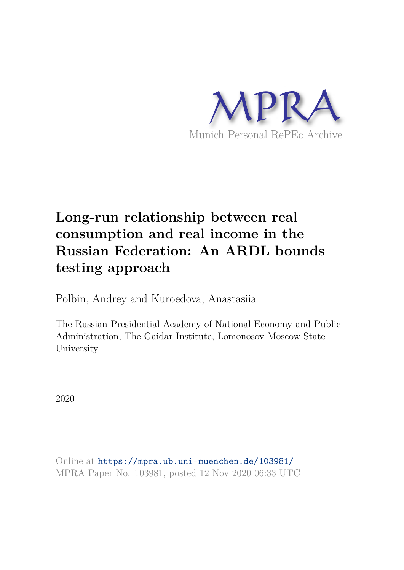

# **Long-run relationship between real consumption and real income in the Russian Federation: An ARDL bounds testing approach**

Polbin, Andrey and Kuroedova, Anastasiia

The Russian Presidential Academy of National Economy and Public Administration, The Gaidar Institute, Lomonosov Moscow State University

2020

Online at https://mpra.ub.uni-muenchen.de/103981/ MPRA Paper No. 103981, posted 12 Nov 2020 06:33 UTC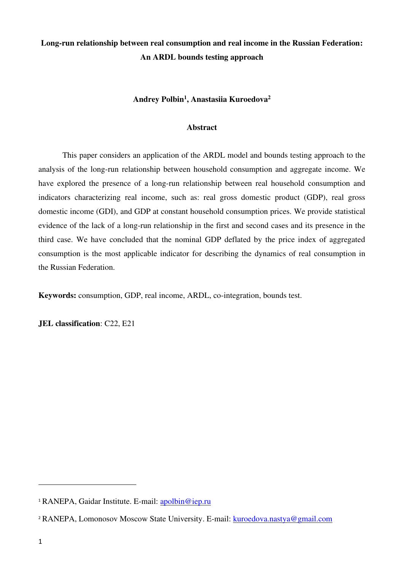# **Long-run relationship between real consumption and real income in the Russian Federation: An ARDL bounds testing approach**

**Andrey Polbin<sup>1</sup> , Anastasiia Kuroedova<sup>2</sup>**

## **Abstract**

This paper considers an application of the ARDL model and bounds testing approach to the analysis of the long-run relationship between household consumption and aggregate income. We have explored the presence of a long-run relationship between real household consumption and indicators characterizing real income, such as: real gross domestic product (GDP), real gross domestic income (GDI), and GDP at constant household consumption prices. We provide statistical evidence of the lack of a long-run relationship in the first and second cases and its presence in the third case. We have concluded that the nominal GDP deflated by the price index of aggregated consumption is the most applicable indicator for describing the dynamics of real consumption in the Russian Federation.

**Keywords:** consumption, GDP, real income, ARDL, co-integration, bounds test.

**JEL classification**: C22, E21

<sup>&</sup>lt;sup>1</sup> RANEPA, Gaidar Institute. E-mail: [apolbin@iep.ru](mailto:apolbin@iep.ru)

<sup>&</sup>lt;sup>2</sup> RANEPA, Lomonosov Moscow State University. E-mail: [kuroedova.nastya@gmail.com](mailto:kuroedova.nastya@gmail.com)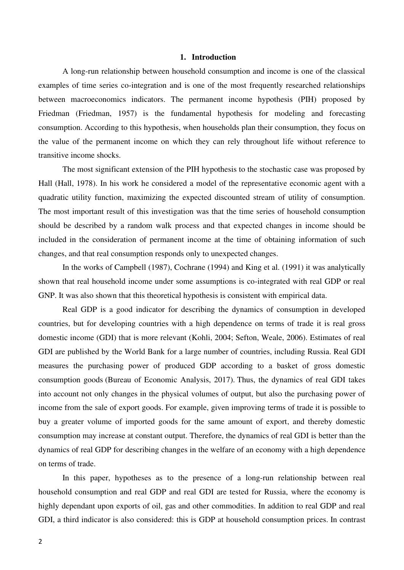#### **1. Introduction**

A long-run relationship between household consumption and income is one of the classical examples of time series co-integration and is one of the most frequently researched relationships between macroeconomics indicators. The permanent income hypothesis (PIH) proposed by Friedman (Friedman, 1957) is the fundamental hypothesis for modeling and forecasting consumption. According to this hypothesis, when households plan their consumption, they focus on the value of the permanent income on which they can rely throughout life without reference to transitive income shocks.

The most significant extension of the PIH hypothesis to the stochastic case was proposed by Hall (Hall, 1978). In his work he considered a model of the representative economic agent with a quadratic utility function, maximizing the expected discounted stream of utility of consumption. The most important result of this investigation was that the time series of household consumption should be described by a random walk process and that expected changes in income should be included in the consideration of permanent income at the time of obtaining information of such changes, and that real consumption responds only to unexpected changes.

In the works of Campbell (1987), Cochrane (1994) and King et al. (1991) it was analytically shown that real household income under some assumptions is co-integrated with real GDP or real GNP. It was also shown that this theoretical hypothesis is consistent with empirical data.

Real GDP is a good indicator for describing the dynamics of consumption in developed countries, but for developing countries with a high dependence on terms of trade it is real gross domestic income (GDI) that is more relevant (Kohli, 2004; Sefton, Weale, 2006). Estimates of real GDI are published by the World Bank for a large number of countries, including Russia. Real GDI measures the purchasing power of produced GDP according to a basket of gross domestic consumption goods (Bureau of Economic Analysis, 2017). Thus, the dynamics of real GDI takes into account not only changes in the physical volumes of output, but also the purchasing power of income from the sale of export goods. For example, given improving terms of trade it is possible to buy a greater volume of imported goods for the same amount of export, and thereby domestic consumption may increase at constant output. Therefore, the dynamics of real GDI is better than the dynamics of real GDP for describing changes in the welfare of an economy with a high dependence on terms of trade.

In this paper, hypotheses as to the presence of a long-run relationship between real household consumption and real GDP and real GDI are tested for Russia, where the economy is highly dependant upon exports of oil, gas and other commodities. In addition to real GDP and real GDI, a third indicator is also considered: this is GDP at household consumption prices. In contrast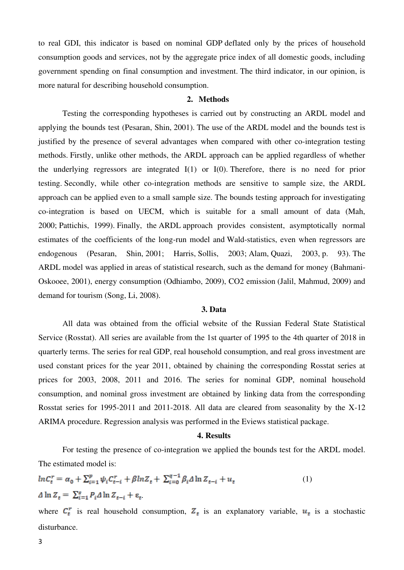to real GDI, this indicator is based on nominal GDP deflated only by the prices of household consumption goods and services, not by the aggregate price index of all domestic goods, including government spending on final consumption and investment. The third indicator, in our opinion, is more natural for describing household consumption.

#### **2. Methods**

Testing the corresponding hypotheses is carried out by constructing an ARDL model and applying the bounds test (Pesaran, Shin, 2001). The use of the ARDL model and the bounds test is justified by the presence of several advantages when compared with other co-integration testing methods. Firstly, unlike other methods, the ARDL approach can be applied regardless of whether the underlying regressors are integrated I(1) or I(0). Therefore, there is no need for prior testing. Secondly, while other co-integration methods are sensitive to sample size, the ARDL approach can be applied even to a small sample size. The bounds testing approach for investigating co-integration is based on UECM, which is suitable for a small amount of data (Mah, 2000; Pattichis, 1999). Finally, the ARDL approach provides consistent, asymptotically normal estimates of the coefficients of the long-run model and Wald-statistics, even when regressors are endogenous (Pesaran, Shin, 2001; Harris, Sollis, 2003; Alam, Quazi, 2003, p. 93). The ARDL model was applied in areas of statistical research, such as the demand for money (Bahmani-Oskooee, 2001), energy consumption (Odhiambo, 2009), CO2 emission (Jalil, Mahmud, 2009) and demand for tourism (Song, Li, 2008).

#### **3. Data**

All data was obtained from the official website of the Russian Federal State Statistical Service (Rosstat). All series are available from the 1st quarter of 1995 to the 4th quarter of 2018 in quarterly terms. The series for real GDP, real household consumption, and real gross investment are used constant prices for the year 2011, obtained by chaining the corresponding Rosstat series at prices for 2003, 2008, 2011 and 2016. The series for nominal GDP, nominal household consumption, and nominal gross investment are obtained by linking data from the corresponding Rosstat series for 1995-2011 and 2011-2018. All data are cleared from seasonality by the X-12 ARIMA procedure. Regression analysis was performed in the Eviews statistical package.

#### **4. Results**

For testing the presence of co-integration we applied the bounds test for the ARDL model. The estimated model is:

$$
\ln C_t^r = \alpha_0 + \sum_{i=1}^p \psi_i C_{t-i}^r + \beta \ln Z_t + \sum_{i=0}^{q-1} \beta_i \Delta \ln Z_{t-i} + u_t
$$
  
\n
$$
\Delta \ln Z_t = \sum_{i=1}^s P_i \Delta \ln Z_{t-i} + \varepsilon_t.
$$
\n(1)

where  $C_t^r$  is real household consumption,  $Z_t$  is an explanatory variable,  $u_t$  is a stochastic disturbance.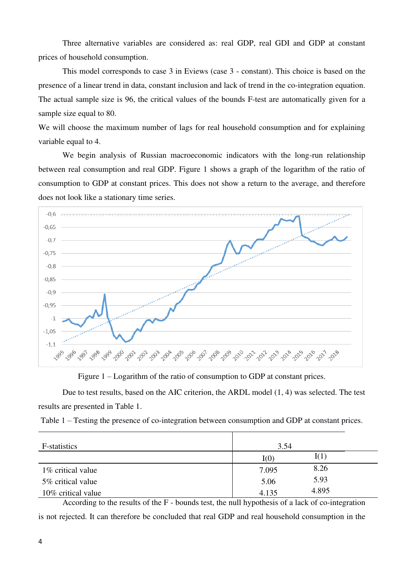Three alternative variables are considered as: real GDP, real GDI and GDP at constant prices of household consumption.

This model corresponds to case 3 in Eviews (case 3 - constant). This choice is based on the presence of a linear trend in data, constant inclusion and lack of trend in the co-integration equation. The actual sample size is 96, the critical values of the bounds F-test are automatically given for a sample size equal to 80.

We will choose the maximum number of lags for real household consumption and for explaining variable equal to 4.

We begin analysis of Russian macroeconomic indicators with the long-run relationship between real consumption and real GDP. Figure 1 shows a graph of the logarithm of the ratio of consumption to GDP at constant prices. This does not show a return to the average, and therefore does not look like a stationary time series.



Figure 1 – Logarithm of the ratio of consumption to GDP at constant prices.

Due to test results, based on the AIC criterion, the ARDL model (1, 4) was selected. The test results are presented in Table 1.

Table 1 – Testing the presence of co-integration between consumption and GDP at constant prices.

| F-statistics        | 3.54  |       |
|---------------------|-------|-------|
|                     | I(0)  | I(1)  |
| 1\% critical value  | 7.095 | 8.26  |
| 5% critical value   | 5.06  | 5.93  |
| 10\% critical value | 4.135 | 4.895 |

According to the results of the F - bounds test, the null hypothesis of a lack of co-integration is not rejected. It can therefore be concluded that real GDP and real household consumption in the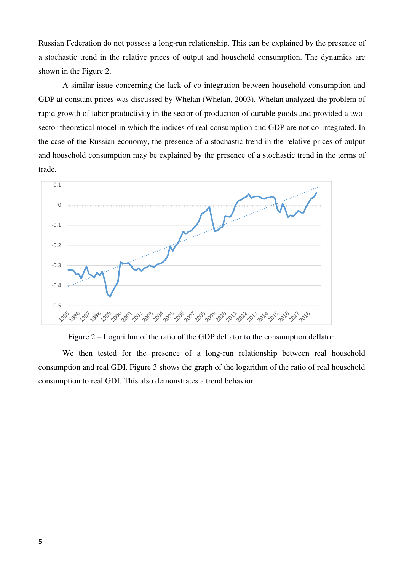Russian Federation do not possess a long-run relationship. This can be explained by the presence of a stochastic trend in the relative prices of output and household consumption. The dynamics are shown in the Figure 2.

A similar issue concerning the lack of co-integration between household consumption and GDP at constant prices was discussed by Whelan (Whelan, 2003). Whelan analyzed the problem of rapid growth of labor productivity in the sector of production of durable goods and provided a twosector theoretical model in which the indices of real consumption and GDP are not co-integrated. In the case of the Russian economy, the presence of a stochastic trend in the relative prices of output and household consumption may be explained by the presence of a stochastic trend in the terms of trade.



Figure 2 – Logarithm of the ratio of the GDP deflator to the consumption deflator.

We then tested for the presence of a long-run relationship between real household consumption and real GDI. Figure 3 shows the graph of the logarithm of the ratio of real household consumption to real GDI. This also demonstrates a trend behavior.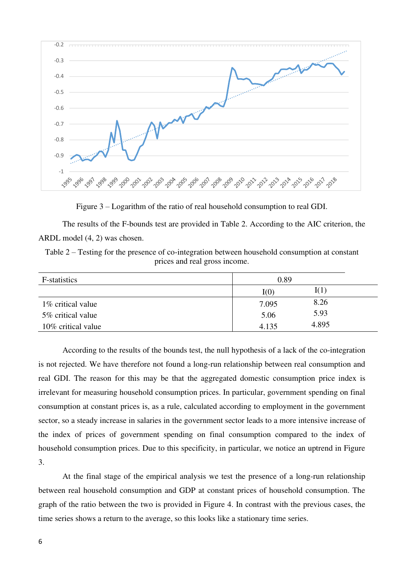

Figure 3 – Logarithm of the ratio of real household consumption to real GDI.

The results of the F-bounds test are provided in Table 2. According to the AIC criterion, the ARDL model (4, 2) was chosen.

Table 2 – Testing for the presence of co-integration between household consumption at constant prices and real gross income.

| F-statistics       | 0.89  |       |
|--------------------|-------|-------|
|                    | I(0)  | I(1)  |
| 1\% critical value | 7.095 | 8.26  |
| 5% critical value  | 5.06  | 5.93  |
| 10% critical value | 4.135 | 4.895 |

According to the results of the bounds test, the null hypothesis of a lack of the co-integration is not rejected. We have therefore not found a long-run relationship between real consumption and real GDI. The reason for this may be that the aggregated domestic consumption price index is irrelevant for measuring household consumption prices. In particular, government spending on final consumption at constant prices is, as a rule, calculated according to employment in the government sector, so a steady increase in salaries in the government sector leads to a more intensive increase of the index of prices of government spending on final consumption compared to the index of household consumption prices. Due to this specificity, in particular, we notice an uptrend in Figure 3.

At the final stage of the empirical analysis we test the presence of a long-run relationship between real household consumption and GDP at constant prices of household consumption. The graph of the ratio between the two is provided in Figure 4. In contrast with the previous cases, the time series shows a return to the average, so this looks like a stationary time series.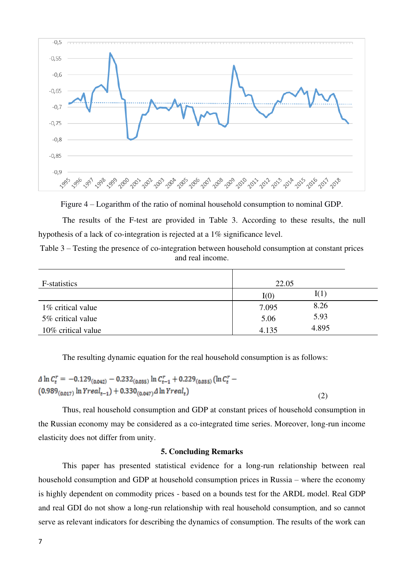

Figure 4 – Logarithm of the ratio of nominal household consumption to nominal GDP.

The results of the F-test are provided in Table 3. According to these results, the null hypothesis of a lack of co-integration is rejected at a 1% significance level.

| Table $3$ – Testing the presence of co-integration between household consumption at constant prices |
|-----------------------------------------------------------------------------------------------------|
| and real income.                                                                                    |

| F-statistics       | 22.05 |       |
|--------------------|-------|-------|
|                    | I(0)  | I(1)  |
| 1\% critical value | 7.095 | 8.26  |
| 5% critical value  | 5.06  | 5.93  |
| 10% critical value | 4.135 | 4.895 |

The resulting dynamic equation for the real household consumption is as follows:

$$
\Delta \ln C_t^r = -0.129_{(0.042)} - 0.232_{(0.035)} \ln C_{t-1}^r + 0.229_{(0.035)} (\ln C_t^r - (0.989_{(0.017)} \ln Yreal_{t-1}) + 0.330_{(0.047)} \Delta \ln Yreal_t)
$$

 Thus, real household consumption and GDP at constant prices of household consumption in the Russian economy may be considered as a co-integrated time series. Moreover, long-run income elasticity does not differ from unity.

(2)

#### **5. Concluding Remarks**

This paper has presented statistical evidence for a long-run relationship between real household consumption and GDP at household consumption prices in Russia – where the economy is highly dependent on commodity prices - based on a bounds test for the ARDL model. Real GDP and real GDI do not show a long-run relationship with real household consumption, and so cannot serve as relevant indicators for describing the dynamics of consumption. The results of the work can